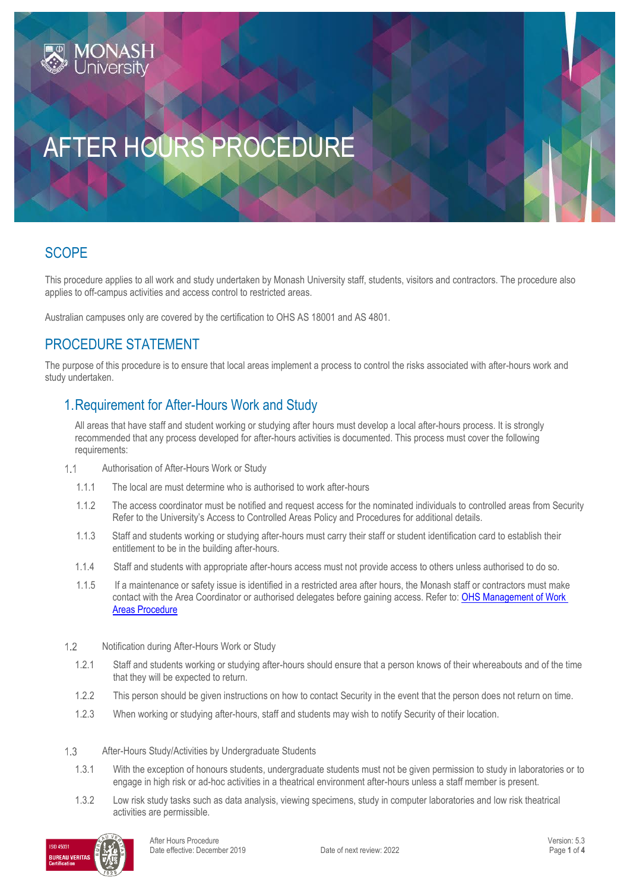# AFTER HOURS PROCEDURE

## **SCOPE**

This procedure applies to all work and study undertaken by Monash University staff, students, visitors and contractors. The procedure also applies to off-campus activities and access control to restricted areas.

Australian campuses only are covered by the certification to OHS AS 18001 and AS 4801.

## PROCEDURE STATEMENT

The purpose of this procedure is to ensure that local areas implement a process to control the risks associated with after-hours work and study undertaken.

### 1.Requirement for After-Hours Work and Study

All areas that have staff and student working or studying after hours must develop a local after-hours process. It is strongly recommended that any process developed for after-hours activities is documented. This process must cover the following requirements:

- $1.1$ Authorisation of After-Hours Work or Study
	- 1.1.1 The local are must determine who is authorised to work after-hours
	- 1.1.2 The access coordinator must be notified and request access for the nominated individuals to controlled areas from Security Refer to the University's Access to Controlled Areas Policy and Procedures for additional details.
	- 1.1.3 Staff and students working or studying after-hours must carry their staff or student identification card to establish their entitlement to be in the building after-hours.
	- 1.1.4 Staff and students with appropriate after-hours access must not provide access to others unless authorised to do so.
	- 1.1.5 If a maintenance or safety issue is identified in a restricted area after hours, the Monash staff or contractors must make contact with the Area Coordinator or authorised delegates before gaining access. Refer to[: OHS Management of Work](https://publicpolicydms.monash.edu/Monash/documents/1935630)  [Areas Procedure](https://publicpolicydms.monash.edu/Monash/documents/1935630)
- $1.2$ Notification during After-Hours Work or Study
	- 1.2.1 Staff and students working or studying after-hours should ensure that a person knows of their whereabouts and of the time that they will be expected to return.
	- 1.2.2 This person should be given instructions on how to contact Security in the event that the person does not return on time.
	- 1.2.3 When working or studying after-hours, staff and students may wish to notify Security of their location.
- $1.3$ After-Hours Study/Activities by Undergraduate Students
	- 1.3.1 With the exception of honours students, undergraduate students must not be given permission to study in laboratories or to engage in high risk or ad-hoc activities in a theatrical environment after-hours unless a staff member is present.
	- 1.3.2 Low risk study tasks such as data analysis, viewing specimens, study in computer laboratories and low risk theatrical activities are permissible.

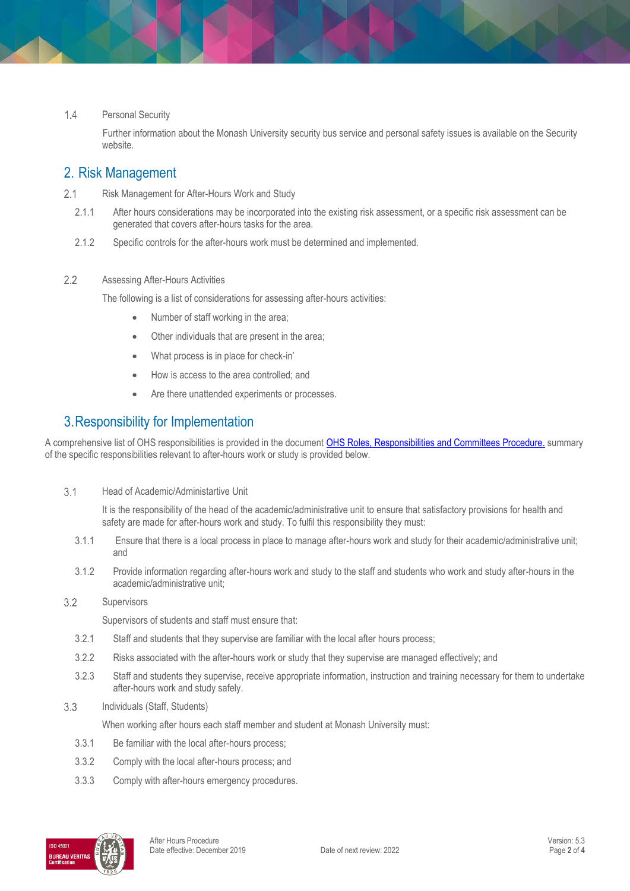#### $1.4$ Personal Security

 Further information about the Monash University security bus service and personal safety issues is available on the Security website.

### 2. Risk Management

- $2.1$ Risk Management for After-Hours Work and Study
	- 2.1.1 After hours considerations may be incorporated into the existing risk assessment, or a specific risk assessment can be generated that covers after-hours tasks for the area.
	- 2.1.2 Specific controls for the after-hours work must be determined and implemented.

#### $2.2$ Assessing After-Hours Activities

The following is a list of considerations for assessing after-hours activities:

- Number of staff working in the area;
- Other individuals that are present in the area;
- What process is in place for check-in'
- How is access to the area controlled; and
- Are there unattended experiments or processes.

### 3.Responsibility for Implementation

A comprehensive list of OHS responsibilities is provided in the document OHS Roles, [Responsibilities and Committees Procedure.](https://publicpolicydms.monash.edu/Monash/documents/1935644) summary of the specific responsibilities relevant to after-hours work or study is provided below.

 $3.1$ Head of Academic/Administartive Unit

> It is the responsibility of the head of the academic/administrative unit to ensure that satisfactory provisions for health and safety are made for after-hours work and study. To fulfil this responsibility they must:

- 3.1.1 Ensure that there is a local process in place to manage after-hours work and study for their academic/administrative unit; and
- 3.1.2 Provide information regarding after-hours work and study to the staff and students who work and study after-hours in the academic/administrative unit;

#### $3.2$ **Supervisors**

Supervisors of students and staff must ensure that:

- 3.2.1 Staff and students that they supervise are familiar with the local after hours process;
- 3.2.2 Risks associated with the after-hours work or study that they supervise are managed effectively; and
- 3.2.3 Staff and students they supervise, receive appropriate information, instruction and training necessary for them to undertake after-hours work and study safely.
- 3.3 Individuals (Staff, Students)

When working after hours each staff member and student at Monash University must:

- 3.3.1 Be familiar with the local after-hours process;
- 3.3.2 Comply with the local after-hours process; and
- 3.3.3 Comply with after-hours emergency procedures.

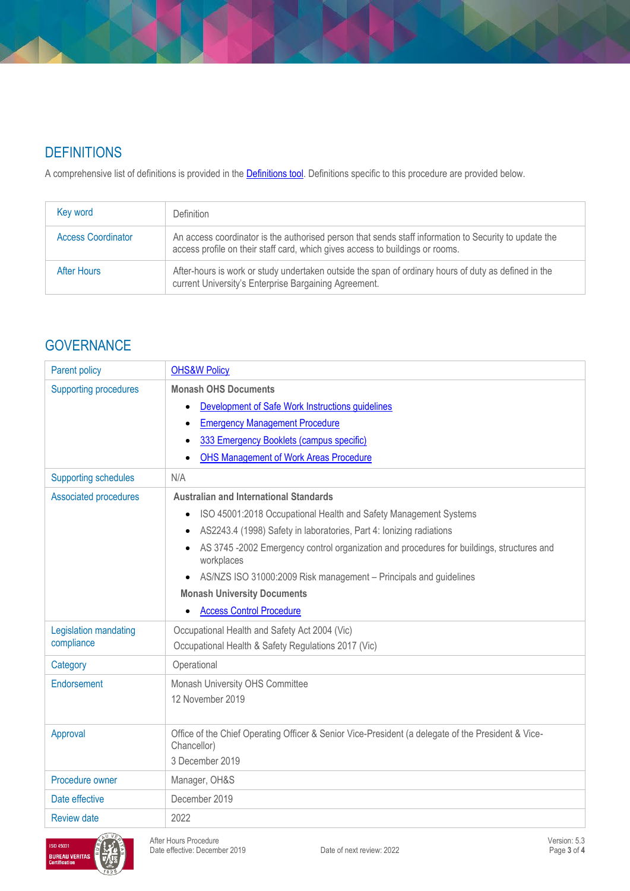# **DEFINITIONS**

A comprehensive list of definitions is provided in the **Definitions tool**. Definitions specific to this procedure are provided below.

| Key word                  | <b>Definition</b>                                                                                                                                                                      |
|---------------------------|----------------------------------------------------------------------------------------------------------------------------------------------------------------------------------------|
| <b>Access Coordinator</b> | An access coordinator is the authorised person that sends staff information to Security to update the<br>access profile on their staff card, which gives access to buildings or rooms. |
| After Hours               | After-hours is work or study undertaken outside the span of ordinary hours of duty as defined in the<br>current University's Enterprise Bargaining Agreement.                          |

## **GOVERNANCE**

| Parent policy                       | <b>OHS&amp;W Policy</b>                                                                                           |  |  |
|-------------------------------------|-------------------------------------------------------------------------------------------------------------------|--|--|
| <b>Supporting procedures</b>        | <b>Monash OHS Documents</b>                                                                                       |  |  |
|                                     | Development of Safe Work Instructions guidelines                                                                  |  |  |
|                                     | <b>Emergency Management Procedure</b>                                                                             |  |  |
|                                     | 333 Emergency Booklets (campus specific)                                                                          |  |  |
|                                     | <b>OHS Management of Work Areas Procedure</b>                                                                     |  |  |
| <b>Supporting schedules</b>         | N/A                                                                                                               |  |  |
| <b>Associated procedures</b>        | <b>Australian and International Standards</b>                                                                     |  |  |
|                                     | ISO 45001:2018 Occupational Health and Safety Management Systems<br>$\bullet$                                     |  |  |
|                                     | AS2243.4 (1998) Safety in laboratories, Part 4: Ionizing radiations                                               |  |  |
|                                     | AS 3745-2002 Emergency control organization and procedures for buildings, structures and<br>workplaces            |  |  |
|                                     | AS/NZS ISO 31000:2009 Risk management - Principals and guidelines                                                 |  |  |
|                                     | <b>Monash University Documents</b>                                                                                |  |  |
|                                     | <b>Access Control Procedure</b>                                                                                   |  |  |
| Legislation mandating<br>compliance | Occupational Health and Safety Act 2004 (Vic)                                                                     |  |  |
|                                     | Occupational Health & Safety Regulations 2017 (Vic)                                                               |  |  |
| Category                            | Operational                                                                                                       |  |  |
| Endorsement                         | Monash University OHS Committee                                                                                   |  |  |
|                                     | 12 November 2019                                                                                                  |  |  |
|                                     |                                                                                                                   |  |  |
| Approval                            | Office of the Chief Operating Officer & Senior Vice-President (a delegate of the President & Vice-<br>Chancellor) |  |  |
|                                     | 3 December 2019                                                                                                   |  |  |
| Procedure owner                     | Manager, OH&S                                                                                                     |  |  |
| Date effective                      | December 2019                                                                                                     |  |  |
| <b>Review date</b>                  | 2022                                                                                                              |  |  |